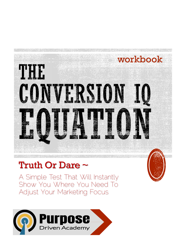

# Truth Or Dare ~

A Simple Test That Will Instantly Show You Where You Need To Adjust Your Marketing Focus

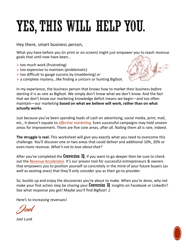# YES, THIS WILL HELP YOU.

Hey there, smart business person,

What you have before you (in print or on screen) might just empower you to reach revenue goals that until now have been…

- $\triangleright$  too much work (frustrating)
- $\triangleright$  too expensive to maintain (problematic)
- $\triangleright$  too difficult to gauge success by (maddening) or
- $\triangleright$  a complete mystery...like finding a unicorn or hunting Bigfoot.



In my experience, the business person that knows how to market their business *before starting it* is as rare as Bigfoot. We simply don't know what we don't know. And the fact that we don't know our marketing knowledge deficit means we begin—and too often maintain—our marketing **based on what we believe will work, rather than on what actually works.**

Just because you've been spending loads of cash on advertising, social media, print, mail, etc., it doesn't equate to *effective marketing*. Even successful campaigns may hold unseen areas for improvement. There are five core areas, after all. Nailing them all is rare, indeed.

**The struggle is real.** This worksheet will give you exactly what you need to overcome this challenge. You'll discover one or two areas that could deliver and additional 10%, 20% or even more revenue. *What's not to love about that?*

After you've completed the Conversion  $\iota Q$ , if you want to go deeper then be sure to check out the [Revenue Accelerator.](https://purposedrivenacademy.com/revenue-acceleration-process-through-profit-optimization/) It's our proven tool for successful entrepreneurs & owners that empowers you to position yourself so concretely in the mind of your future buyers (as well as existing ones) that they'll only consider you as their go-to provider.

So, buckle up and enjoy the discoveries you're about to make. When you're done, why not make your first action step be sharing your **Conversion IQ** insights on Facebook or LinkedIn? See what response you get! Maybe you'll find Bigfoot! ;)

Here's to increasing revenues!

Joel Lund

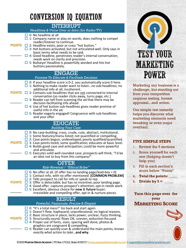# CONVERSION IQ EQUATION

#### INTERRUPT

*Headlines & Voice Over or Intro (for Radio/TV)*

 $\Box$  **0**: No headline at all

 $\overline{\phantom{a}}$ 

- **1**: Company name or play on words; does nothing to compel reader/listener to continue.
- **POINTS** □ 2: Headline exists; poor or crass "hot button."
- **3**: Hot buttons activated, but not articulated well. Only says in basic terms what needs to be said.  $\overline{\phantom{a}}$ 
	- **4**: Good headline, penetrates reader's internal conversation; needs work on clarity and precision.
	- **5**: Bullseye! Headline is powerfully worded and hits hot buttons passionately.

#### ENGAGE

#### *Promise To Educate & Facilitate Decision*

- **0**: If your headline score is 0-2, you automatically score 0 here.
- **1**: Nothing to make reader want to listen…no sub-headlines; no
- additional info at all, incoherent. **POINTS** □ 2: Contains sub-headlines that are not connected to internal conversation (so reader clicks away, turns page, etc.)
	- **3**: Reader can tell from scanning the ad that there may be decision-facilitating info ahead.
	- **4**: Use of hot button sub-headlines gives reader promise of useful info in the ad.
	- **5**: Reader eagerly engaged! Congruence with sub-headlines and your offer

## EDUCATE

| <b>Building Your Case</b> |                                                                                                                                                                                                                                                                                                                                                                                                                                                                                                                                        |
|---------------------------|----------------------------------------------------------------------------------------------------------------------------------------------------------------------------------------------------------------------------------------------------------------------------------------------------------------------------------------------------------------------------------------------------------------------------------------------------------------------------------------------------------------------------------------|
|                           | $\Box$ 0: No case-building; crass, crude, cute, abstract, institutional.<br>$\Box$ 1: Some features/menu listed; not quantified or compelling.<br>$\Box$ 2: Case points begun; undeveloped; poorly qualified/quantified.<br><b>POINTS</b> $\Box$ 3: Case points listed; some qualification; educates at basic level.<br>$\Box$ 4: Builds good case and anticipation; could be more powerful<br>and articulate.<br>$\Box$ 5: Executes solid well-rounded case; prospects will think, "I'd be<br>an idiot not to buy from this company!" |
|                           | <b>OFFER</b>                                                                                                                                                                                                                                                                                                                                                                                                                                                                                                                           |
|                           | Risk-Reversal / "Ethical Bribe"                                                                                                                                                                                                                                                                                                                                                                                                                                                                                                        |
|                           | $\Box$ 0: No offer at all. (If offer has no landing page/lead-box = 0)<br>$\Box$ 1: Contact info, with no offer mentioned. [COMMON PROBLEM]<br>$\Box$ 2: Tells prospect to call for info or speak to rep.<br><b>POINTS</b> $\Box$ 3: Offer is detectable, but has no incentive; poor landing page.<br>$\Box$ 4: Good offer, captures prospect's attention; opt-in needs work.<br>$\Box$ 5: Excellent, obvious choice for <b>now</b> & <b>future</b> buyer;<br>irresistible and compelling offer, opt-in & nurture pieces.              |
|                           | <b>RESULT</b>                                                                                                                                                                                                                                                                                                                                                                                                                                                                                                                          |
|                           | Powerful, Passionate, Precise & Elegant                                                                                                                                                                                                                                                                                                                                                                                                                                                                                                |
| <b>POINTS</b>             | $\Box$ 0: "It's a total mess!" Go back and start again.<br>$\Box$ 1: Doesn't flow; haphazard; unprofessional; no logical reasons.<br>$\Box$ 2: Basic structure in place; lacks power; unclear; fuzzy thinking.<br>$\Box$ 3: Structurally sound; flows OK; uneven; seduction-focused.<br>$\Box$ 4: Proper use of fonts, sizes; spacing well done; photos &<br>graphics are congruent & compelling.<br>$\Box$ 5: Reader can quickly scan & understand the main points; knows                                                             |

*exactly what action to take*…**and why**.



Marketing any business is a challenge, but standing out from your competition requires testing, honest appraisal...and action.

Our simple test instantly helps you discover what marketing elements need tweaking or even major overhaul.

#### **FIVE SIMPLE STEPS**

- 1. Review the 5 sections
- 2. Score yourself for each one (fudging doesn't help you)
- 3. Fill in each section's score below "Points"
- **4. Total the points: \_\_\_\_\_**
- 5. **Divide by**  $5 =$

#### **Turn this page over for your MARKETING SCORE**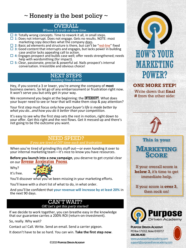## $\sim$  Honesty is the best policy  $\sim$

#### OVERALL *Where it's truth or dare time…*

- $\Box$  **0**: Totally wrong concepts. Time to rework it all, in small steps.
- □ 1: Does not interrupt. Does not engage. Gets no results. NOTE: most marketing copy describes what the company does.
- $\Box$  2: Basic ad elements and structure is there, but can't be ["red-line](https://www.entrepreneur.com/article/217174)" fixed
- **3**: Good content that interrupts and engages, but lacks power in building case and/or lacks appealing call to action.
- **4**: Engages prospect and builds case well; offer needs strengthened; needs help with wordsmithing (for impact).
- **5**: Clear, passionate, precise & powerful ad. Nails prospect's internal conversation. Irresistible and obvious choice!

#### NEXT STEPS *Building Your Brand*

Hey, if you scored a 3 or lower, you're among the company of **most** business owners. So let go of any embarrassment or frustration right now. It won't serve you but only get in your way.

We recommend you begin at the beginning: the **INTERRUPT**. What does your buyer need to see or hear that will make them stop & pay attention?

Your first step must focus only *how your buyer's life is made better by what you do…and how you do it better than your competition.*

It's easy to see why the first step sets the rest in motion, right down to your offer. Get this right and the rest flows. Get it messed up and there's not going to be the outcome you want.

### NEED SPEED?

*If you are tired of DIY time-suck and frustration*

When you're tired of grinding this stuff out—or even handing it over to your internal marketing team—it's nice to know you have resources.

**Before you launch into a new campaign**, you deserve to get crystal clear on our [Revenue Acceleration Process](https://purposedrivenacademy.com/revenue-acceleration-process-through-profit-optimization/).

Why?



You'll discover what you've been missing in your marketing efforts.

You'll leave with a short list of what to do, in what order.

And you'll be confident that **your revenue will increase by at least 20%** in the next 90 days.



If we decide to work together, you can breathe easy in the knowledge that our guarantee carries a 200% ROI (return-on-investment).

So, really. Why wait?

Contact us! Call. Write. Send an email. Send a carrier pigeon.

It doesn't have to be so hard. You can win. **Take the first step now**.



**ONE MORE STEP!** Write down that **final #** from the other side:



 $\mathbb{Z} \times \mathbb{Z} \to \mathbb{Z} \to \mathbb{Z}$  , where  $\mathbb{Z} \times \mathbb{Z} \to \mathbb{Z}$ 

**This is your**



If your overall score is **below 3**, it's time to get immediate help.

If your score is **over 3**, then rock on!



**PURPOSE DRIVEN ACADEMY** PO Box 171312, Boise ID 83717 **208.286.4630**

[www.purposedrivenacademy.com](http://www.purposedrivenacademy.com/)

[support@purposedrivenacademy.com](mailto:support@purposedrivenacademy.com)